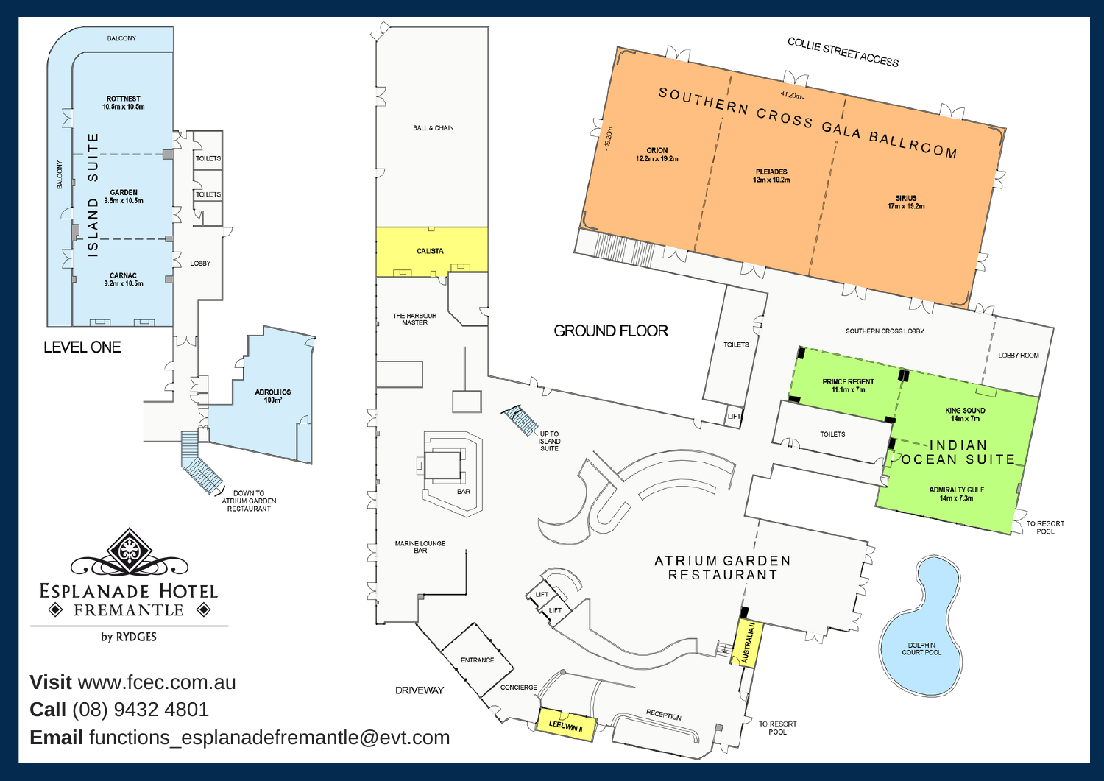